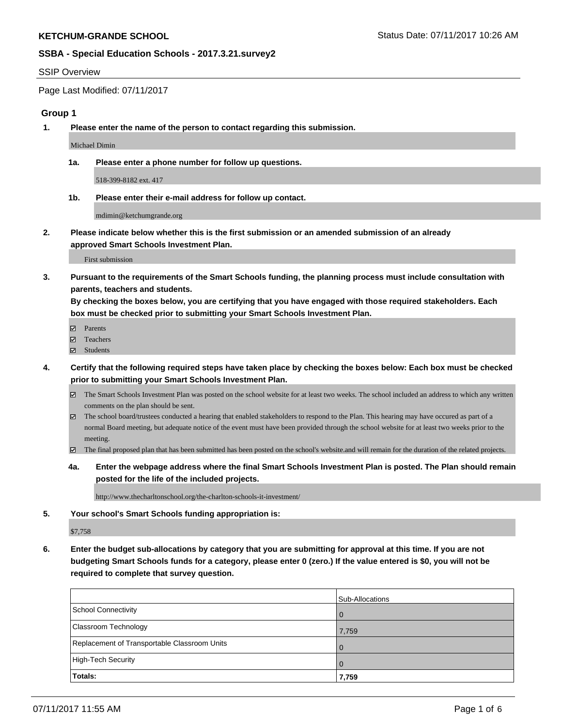#### SSIP Overview

Page Last Modified: 07/11/2017

## **Group 1**

**1. Please enter the name of the person to contact regarding this submission.**

Michael Dimin

**1a. Please enter a phone number for follow up questions.**

518-399-8182 ext. 417

**1b. Please enter their e-mail address for follow up contact.**

mdimin@ketchumgrande.org

**2. Please indicate below whether this is the first submission or an amended submission of an already approved Smart Schools Investment Plan.**

First submission

**3. Pursuant to the requirements of the Smart Schools funding, the planning process must include consultation with parents, teachers and students.**

**By checking the boxes below, you are certifying that you have engaged with those required stakeholders. Each box must be checked prior to submitting your Smart Schools Investment Plan.**

- **Ø** Parents
- Teachers
- Students
- **4. Certify that the following required steps have taken place by checking the boxes below: Each box must be checked prior to submitting your Smart Schools Investment Plan.**
	- The Smart Schools Investment Plan was posted on the school website for at least two weeks. The school included an address to which any written comments on the plan should be sent.
	- The school board/trustees conducted a hearing that enabled stakeholders to respond to the Plan. This hearing may have occured as part of a normal Board meeting, but adequate notice of the event must have been provided through the school website for at least two weeks prior to the meeting.
	- The final proposed plan that has been submitted has been posted on the school's website.and will remain for the duration of the related projects.
	- **4a. Enter the webpage address where the final Smart Schools Investment Plan is posted. The Plan should remain posted for the life of the included projects.**

http://www.thecharltonschool.org/the-charlton-schools-it-investment/

**5. Your school's Smart Schools funding appropriation is:**

\$7,758

**6. Enter the budget sub-allocations by category that you are submitting for approval at this time. If you are not budgeting Smart Schools funds for a category, please enter 0 (zero.) If the value entered is \$0, you will not be required to complete that survey question.**

|                                              | Sub-Allocations |
|----------------------------------------------|-----------------|
| School Connectivity                          | $\mathbf{I}$    |
| Classroom Technology                         | 7,759           |
| Replacement of Transportable Classroom Units | $\mathbf{I}$    |
| High-Tech Security                           | $\Omega$        |
| Totals:                                      | 7,759           |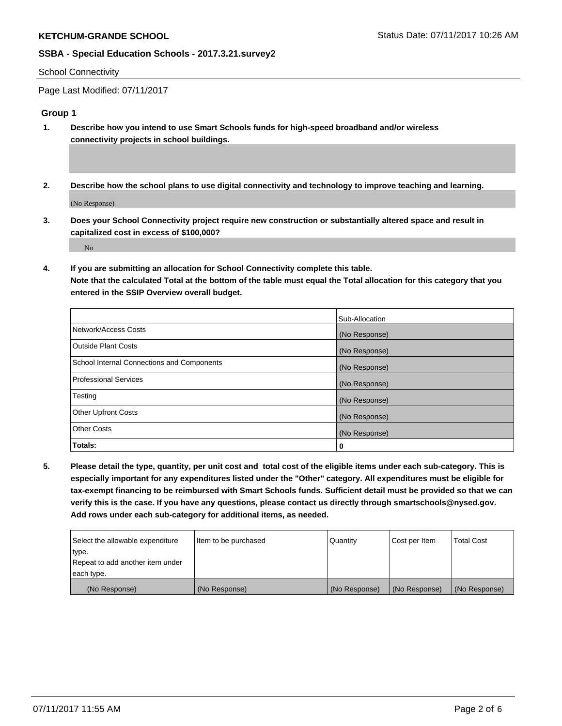#### School Connectivity

Page Last Modified: 07/11/2017

# **Group 1**

- **1. Describe how you intend to use Smart Schools funds for high-speed broadband and/or wireless connectivity projects in school buildings.**
- **2. Describe how the school plans to use digital connectivity and technology to improve teaching and learning.**

(No Response)

**3. Does your School Connectivity project require new construction or substantially altered space and result in capitalized cost in excess of \$100,000?**

No

**4. If you are submitting an allocation for School Connectivity complete this table. Note that the calculated Total at the bottom of the table must equal the Total allocation for this category that you entered in the SSIP Overview overall budget.** 

|                                            | Sub-Allocation |
|--------------------------------------------|----------------|
| Network/Access Costs                       | (No Response)  |
| <b>Outside Plant Costs</b>                 | (No Response)  |
| School Internal Connections and Components | (No Response)  |
| <b>Professional Services</b>               | (No Response)  |
| Testing                                    | (No Response)  |
| <b>Other Upfront Costs</b>                 | (No Response)  |
| <b>Other Costs</b>                         | (No Response)  |
| Totals:                                    | 0              |

**5. Please detail the type, quantity, per unit cost and total cost of the eligible items under each sub-category. This is especially important for any expenditures listed under the "Other" category. All expenditures must be eligible for tax-exempt financing to be reimbursed with Smart Schools funds. Sufficient detail must be provided so that we can verify this is the case. If you have any questions, please contact us directly through smartschools@nysed.gov. Add rows under each sub-category for additional items, as needed.**

| Select the allowable expenditure | Item to be purchased | l Quantitv    | Cost per Item | <b>Total Cost</b> |
|----------------------------------|----------------------|---------------|---------------|-------------------|
| type.                            |                      |               |               |                   |
| Repeat to add another item under |                      |               |               |                   |
| each type.                       |                      |               |               |                   |
| (No Response)                    | (No Response)        | (No Response) | (No Response) | (No Response)     |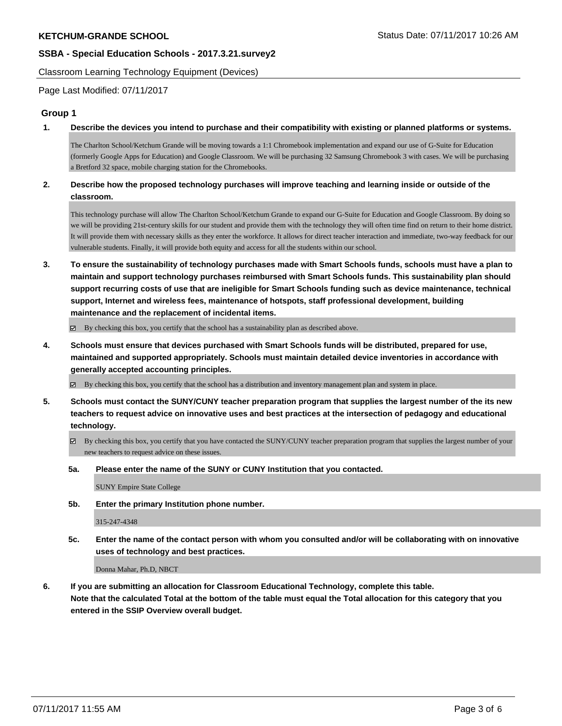Classroom Learning Technology Equipment (Devices)

Page Last Modified: 07/11/2017

## **Group 1**

**1. Describe the devices you intend to purchase and their compatibility with existing or planned platforms or systems.**

The Charlton School/Ketchum Grande will be moving towards a 1:1 Chromebook implementation and expand our use of G-Suite for Education (formerly Google Apps for Education) and Google Classroom. We will be purchasing 32 Samsung Chromebook 3 with cases. We will be purchasing a Bretford 32 space, mobile charging station for the Chromebooks.

## **2. Describe how the proposed technology purchases will improve teaching and learning inside or outside of the classroom.**

This technology purchase will allow The Charlton School/Ketchum Grande to expand our G-Suite for Education and Google Classroom. By doing so we will be providing 21st-century skills for our student and provide them with the technology they will often time find on return to their home district. It will provide them with necessary skills as they enter the workforce. It allows for direct teacher interaction and immediate, two-way feedback for our vulnerable students. Finally, it will provide both equity and access for all the students within our school.

**3. To ensure the sustainability of technology purchases made with Smart Schools funds, schools must have a plan to maintain and support technology purchases reimbursed with Smart Schools funds. This sustainability plan should support recurring costs of use that are ineligible for Smart Schools funding such as device maintenance, technical support, Internet and wireless fees, maintenance of hotspots, staff professional development, building maintenance and the replacement of incidental items.**

By checking this box, you certify that the school has a sustainability plan as described above.

**4. Schools must ensure that devices purchased with Smart Schools funds will be distributed, prepared for use, maintained and supported appropriately. Schools must maintain detailed device inventories in accordance with generally accepted accounting principles.**

 $\boxtimes$  By checking this box, you certify that the school has a distribution and inventory management plan and system in place.

- **5. Schools must contact the SUNY/CUNY teacher preparation program that supplies the largest number of the its new teachers to request advice on innovative uses and best practices at the intersection of pedagogy and educational technology.**
	- $\boxtimes$  By checking this box, you certify that you have contacted the SUNY/CUNY teacher preparation program that supplies the largest number of your new teachers to request advice on these issues.
	- **5a. Please enter the name of the SUNY or CUNY Institution that you contacted.**

SUNY Empire State College

**5b. Enter the primary Institution phone number.**

315-247-4348

**5c. Enter the name of the contact person with whom you consulted and/or will be collaborating with on innovative uses of technology and best practices.**

Donna Mahar, Ph.D, NBCT

**6. If you are submitting an allocation for Classroom Educational Technology, complete this table. Note that the calculated Total at the bottom of the table must equal the Total allocation for this category that you entered in the SSIP Overview overall budget.**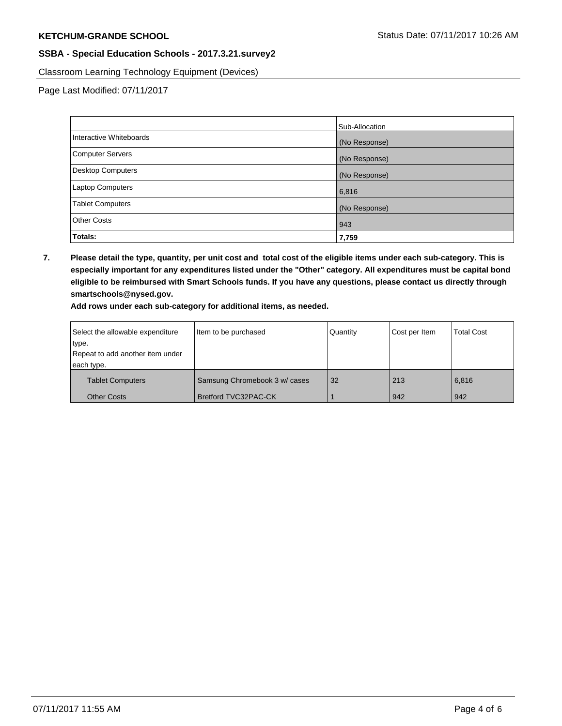Classroom Learning Technology Equipment (Devices)

Page Last Modified: 07/11/2017

|                          | Sub-Allocation |
|--------------------------|----------------|
| Interactive Whiteboards  | (No Response)  |
| Computer Servers         | (No Response)  |
| <b>Desktop Computers</b> | (No Response)  |
| <b>Laptop Computers</b>  | 6,816          |
| <b>Tablet Computers</b>  | (No Response)  |
| <b>Other Costs</b>       | 943            |
| Totals:                  | 7,759          |

**7. Please detail the type, quantity, per unit cost and total cost of the eligible items under each sub-category. This is especially important for any expenditures listed under the "Other" category. All expenditures must be capital bond eligible to be reimbursed with Smart Schools funds. If you have any questions, please contact us directly through smartschools@nysed.gov.**

**Add rows under each sub-category for additional items, as needed.**

| Select the allowable expenditure | Item to be purchased          | Quantity | Cost per Item | <b>Total Cost</b> |
|----------------------------------|-------------------------------|----------|---------------|-------------------|
| type.                            |                               |          |               |                   |
| Repeat to add another item under |                               |          |               |                   |
| each type.                       |                               |          |               |                   |
| <b>Tablet Computers</b>          | Samsung Chromebook 3 w/ cases | 32       | 213           | 6.816             |
| <b>Other Costs</b>               | <b>Bretford TVC32PAC-CK</b>   |          | 942           | 942               |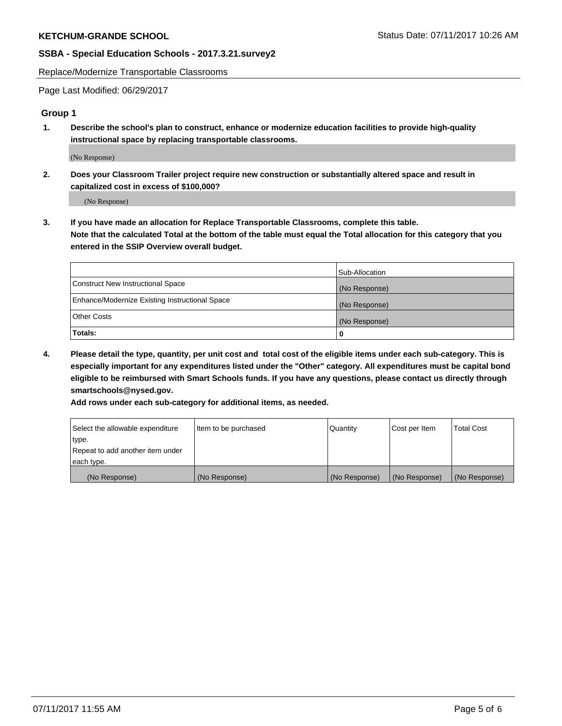Replace/Modernize Transportable Classrooms

Page Last Modified: 06/29/2017

#### **Group 1**

**1. Describe the school's plan to construct, enhance or modernize education facilities to provide high-quality instructional space by replacing transportable classrooms.**

(No Response)

**2. Does your Classroom Trailer project require new construction or substantially altered space and result in capitalized cost in excess of \$100,000?**

(No Response)

**3. If you have made an allocation for Replace Transportable Classrooms, complete this table. Note that the calculated Total at the bottom of the table must equal the Total allocation for this category that you entered in the SSIP Overview overall budget.**

|                                                | Sub-Allocation |
|------------------------------------------------|----------------|
| Construct New Instructional Space              | (No Response)  |
| Enhance/Modernize Existing Instructional Space | (No Response)  |
| <b>Other Costs</b>                             | (No Response)  |
| <b>Totals:</b>                                 |                |

**4. Please detail the type, quantity, per unit cost and total cost of the eligible items under each sub-category. This is especially important for any expenditures listed under the "Other" category. All expenditures must be capital bond eligible to be reimbursed with Smart Schools funds. If you have any questions, please contact us directly through smartschools@nysed.gov.**

**Add rows under each sub-category for additional items, as needed.**

| Select the allowable expenditure | Item to be purchased | Quantity      | Cost per Item | <b>Total Cost</b> |
|----------------------------------|----------------------|---------------|---------------|-------------------|
| type.                            |                      |               |               |                   |
| Repeat to add another item under |                      |               |               |                   |
| each type.                       |                      |               |               |                   |
| (No Response)                    | (No Response)        | (No Response) | (No Response) | (No Response)     |